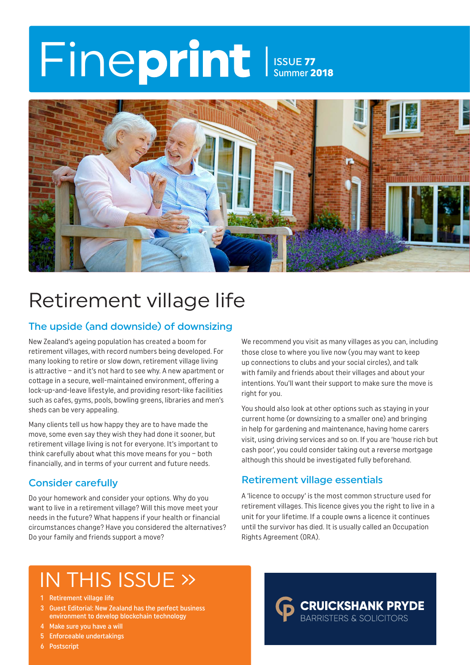# Fineprint Issue 77 Summer 2018



# Retirement village life

### The upside (and downside) of downsizing

New Zealand's ageing population has created a boom for retirement villages, with record numbers being developed. For many looking to retire or slow down, retirement village living is attractive – and it's not hard to see why. A new apartment or cottage in a secure, well-maintained environment, offering a lock-up-and-leave lifestyle, and providing resort-like facilities such as cafes, gyms, pools, bowling greens, libraries and men's sheds can be very appealing.

Many clients tell us how happy they are to have made the move, some even say they wish they had done it sooner, but retirement village living is not for everyone. It's important to think carefully about what this move means for you – both financially, and in terms of your current and future needs.

### Consider carefully

Do your homework and consider your options. Why do you want to live in a retirement village? Will this move meet your needs in the future? What happens if your health or financial circumstances change? Have you considered the alternatives? Do your family and friends support a move?

We recommend you visit as many villages as you can, including those close to where you live now (you may want to keep up connections to clubs and your social circles), and talk with family and friends about their villages and about your intentions. You'll want their support to make sure the move is right for you.

You should also look at other options such as staying in your current home (or downsizing to a smaller one) and bringing in help for gardening and maintenance, having home carers visit, using driving services and so on. If you are 'house rich but cash poor', you could consider taking out a reverse mortgage although this should be investigated fully beforehand.

### Retirement village essentials

A 'licence to occupy' is the most common structure used for retirement villages. This licence gives you the right to live in a unit for your lifetime. If a couple owns a licence it continues until the survivor has died. It is usually called an Occupation Rights Agreement (ORA).

> **CRUICKSHANK PRYDE BARRISTERS & SOLICITORS**

# IN THIS ISSUE »

- 1 Retirement village life
- Guest Editorial: New Zealand has the perfect business environment to develop blockchain technology
- 4 Make sure you have a will
- 5 Enforceable undertakings
- 6 Postscript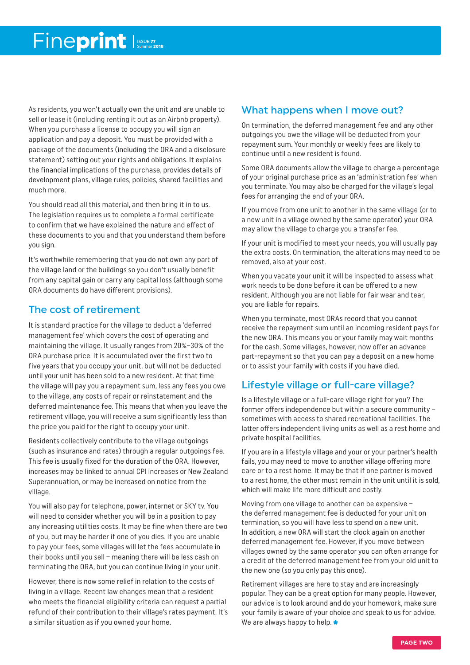As residents, you won't actually own the unit and are unable to sell or lease it (including renting it out as an Airbnb property). When you purchase a license to occupy you will sign an application and pay a deposit. You must be provided with a package of the documents (including the ORA and a disclosure statement) setting out your rights and obligations. It explains the financial implications of the purchase, provides details of development plans, village rules, policies, shared facilities and much more.

You should read all this material, and then bring it in to us. The legislation requires us to complete a formal certificate to confirm that we have explained the nature and effect of these documents to you and that you understand them before you sign.

It's worthwhile remembering that you do not own any part of the village land or the buildings so you don't usually benefit from any capital gain or carry any capital loss (although some ORA documents do have different provisions).

### The cost of retirement

It is standard practice for the village to deduct a 'deferred management fee' which covers the cost of operating and maintaining the village. It usually ranges from 20%–30% of the ORA purchase price. It is accumulated over the first two to five years that you occupy your unit, but will not be deducted until your unit has been sold to a new resident. At that time the village will pay you a repayment sum, less any fees you owe to the village, any costs of repair or reinstatement and the deferred maintenance fee. This means that when you leave the retirement village, you will receive a sum significantly less than the price you paid for the right to occupy your unit.

Residents collectively contribute to the village outgoings (such as insurance and rates) through a regular outgoings fee. This fee is usually fixed for the duration of the ORA. However, increases may be linked to annual CPI increases or New Zealand Superannuation, or may be increased on notice from the village.

You will also pay for telephone, power, internet or SKY tv. You will need to consider whether you will be in a position to pay any increasing utilities costs. It may be fine when there are two of you, but may be harder if one of you dies. If you are unable to pay your fees, some villages will let the fees accumulate in their books until you sell – meaning there will be less cash on terminating the ORA, but you can continue living in your unit.

However, there is now some relief in relation to the costs of living in a village. Recent law changes mean that a resident who meets the financial eligibility criteria can request a partial refund of their contribution to their village's rates payment. It's a similar situation as if you owned your home.

### What happens when I move out?

On termination, the deferred management fee and any other outgoings you owe the village will be deducted from your repayment sum. Your monthly or weekly fees are likely to continue until a new resident is found.

Some ORA documents allow the village to charge a percentage of your original purchase price as an 'administration fee' when you terminate. You may also be charged for the village's legal fees for arranging the end of your ORA.

If you move from one unit to another in the same village (or to a new unit in a village owned by the same operator) your ORA may allow the village to charge you a transfer fee.

If your unit is modified to meet your needs, you will usually pay the extra costs. On termination, the alterations may need to be removed, also at your cost.

When you vacate your unit it will be inspected to assess what work needs to be done before it can be offered to a new resident. Although you are not liable for fair wear and tear, you are liable for repairs.

When you terminate, most ORAs record that you cannot receive the repayment sum until an incoming resident pays for the new ORA. This means you or your family may wait months for the cash. Some villages, however, now offer an advance part-repayment so that you can pay a deposit on a new home or to assist your family with costs if you have died.

### Lifestyle village or full-care village?

Is a lifestyle village or a full-care village right for you? The former offers independence but within a secure community – sometimes with access to shared recreational facilities. The latter offers independent living units as well as a rest home and private hospital facilities.

If you are in a lifestyle village and your or your partner's health fails, you may need to move to another village offering more care or to a rest home. It may be that if one partner is moved to a rest home, the other must remain in the unit until it is sold, which will make life more difficult and costly.

Moving from one village to another can be expensive – the deferred management fee is deducted for your unit on termination, so you will have less to spend on a new unit. In addition, a new ORA will start the clock again on another deferred management fee. However, if you move between villages owned by the same operator you can often arrange for a credit of the deferred management fee from your old unit to the new one (so you only pay this once).

Retirement villages are here to stay and are increasingly popular. They can be a great option for many people. However, our advice is to look around and do your homework, make sure your family is aware of your choice and speak to us for advice. We are always happy to help.  $\star$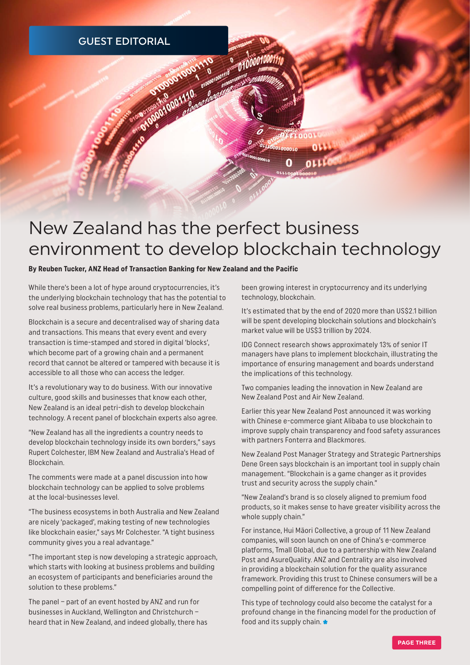

### New Zealand has the perfect business environment to develop blockchain technology

#### **By Reuben Tucker, ANZ Head of Transaction Banking for New Zealand and the Pacific**

While there's been a lot of hype around cryptocurrencies, it's the underlying blockchain technology that has the potential to solve real business problems, particularly here in New Zealand.

Blockchain is a secure and decentralised way of sharing data and transactions. This means that every event and every transaction is time-stamped and stored in digital 'blocks', which become part of a growing chain and a permanent record that cannot be altered or tampered with because it is accessible to all those who can access the ledger.

It's a revolutionary way to do business. With our innovative culture, good skills and businesses that know each other, New Zealand is an ideal petri-dish to develop blockchain technology. A recent panel of blockchain experts also agree.

"New Zealand has all the ingredients a country needs to develop blockchain technology inside its own borders," says Rupert Colchester, IBM New Zealand and Australia's Head of Blockchain.

The comments were made at a panel discussion into how blockchain technology can be applied to solve problems at the local-businesses level.

"The business ecosystems in both Australia and New Zealand are nicely 'packaged', making testing of new technologies like blockchain easier," says Mr Colchester. "A tight business community gives you a real advantage."

"The important step is now developing a strategic approach, which starts with looking at business problems and building an ecosystem of participants and beneficiaries around the solution to these problems."

The panel – part of an event hosted by ANZ and run for businesses in Auckland, Wellington and Christchurch – heard that in New Zealand, and indeed globally, there has been growing interest in cryptocurrency and its underlying technology, blockchain.

It's estimated that by the end of 2020 more than US\$2.1 billion will be spent developing blockchain solutions and blockchain's market value will be US\$3 trillion by 2024.

IDG Connect research shows approximately 13% of senior IT managers have plans to implement blockchain, illustrating the importance of ensuring management and boards understand the implications of this technology.

Two companies leading the innovation in New Zealand are New Zealand Post and Air New Zealand.

Earlier this year New Zealand Post announced it was working with Chinese e-commerce giant Alibaba to use blockchain to improve supply chain transparency and food safety assurances with partners Fonterra and Blackmores.

New Zealand Post Manager Strategy and Strategic Partnerships Dene Green says blockchain is an important tool in supply chain management. "Blockchain is a game changer as it provides trust and security across the supply chain."

"New Zealand's brand is so closely aligned to premium food products, so it makes sense to have greater visibility across the whole supply chain."

For instance, Hui Māori Collective, a group of 11 New Zealand companies, will soon launch on one of China's e-commerce platforms, Tmall Global, due to a partnership with New Zealand Post and AsureQuality. ANZ and Centrality are also involved in providing a blockchain solution for the quality assurance framework. Providing this trust to Chinese consumers will be a compelling point of difference for the Collective.

This type of technology could also become the catalyst for a profound change in the financing model for the production of food and its supply chain. \*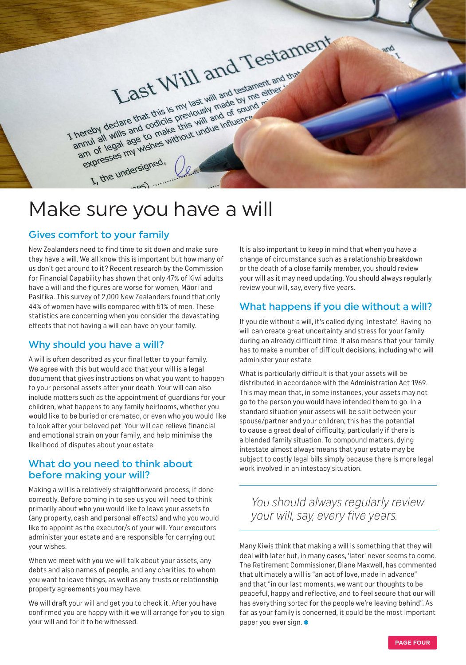Last Will and Testament I hereby declare that this is my last will and testament and that Last Will and testament and<br>Last this is my last will and testament and<br>Last this is my last will and on me either?<br>Last this is my last will and of sound minimum annul all wills and codicils previously made by me elf-<br>hereby declare that this is my last will and of sound me<br>hereby declare that dodicils previously made by me elf-<br>annul all wills and to make this will dange influence ereby declare that this is my viously mand of sound<br>ereby declare that this previously mand of sound<br>nnul all wills and codicils previously influence<br>am of legal age to make this will due influence xpresses my<br>1, the undersigned,

## Make sure you have a will

### Gives comfort to your family

New Zealanders need to find time to sit down and make sure they have a will. We all know this is important but how many of us don't get around to it? Recent research by the Commission for Financial Capability has shown that only 47% of Kiwi adults have a will and the figures are worse for women, Māori and Pasifika. This survey of 2,000 New Zealanders found that only 44% of women have wills compared with 51% of men. These statistics are concerning when you consider the devastating effects that not having a will can have on your family.

### Why should you have a will?

A will is often described as your final letter to your family. We agree with this but would add that your will is a legal document that gives instructions on what you want to happen to your personal assets after your death. Your will can also include matters such as the appointment of guardians for your children, what happens to any family heirlooms, whether you would like to be buried or cremated, or even who you would like to look after your beloved pet. Your will can relieve financial and emotional strain on your family, and help minimise the likelihood of disputes about your estate.

### What do you need to think about before making your will?

Making a will is a relatively straightforward process, if done correctly. Before coming in to see us you will need to think primarily about who you would like to leave your assets to (any property, cash and personal effects) and who you would like to appoint as the executor/s of your will. Your executors administer your estate and are responsible for carrying out your wishes.

When we meet with you we will talk about your assets, any debts and also names of people, and any charities, to whom you want to leave things, as well as any trusts or relationship property agreements you may have.

We will draft your will and get you to check it. After you have confirmed you are happy with it we will arrange for you to sign your will and for it to be witnessed.

It is also important to keep in mind that when you have a change of circumstance such as a relationship breakdown or the death of a close family member, you should review your will as it may need updating. You should always regularly review your will, say, every five years.

### What happens if you die without a will?

If you die without a will, it's called dying 'intestate'. Having no will can create great uncertainty and stress for your family during an already difficult time. It also means that your family has to make a number of difficult decisions, including who will administer your estate.

What is particularly difficult is that your assets will be distributed in accordance with the Administration Act 1969. This may mean that, in some instances, your assets may not go to the person you would have intended them to go. In a standard situation your assets will be split between your spouse/partner and your children; this has the potential to cause a great deal of difficulty, particularly if there is a blended family situation. To compound matters, dying intestate almost always means that your estate may be subject to costly legal bills simply because there is more legal work involved in an intestacy situation.

You should always regularly review your will, say, every five years.

Many Kiwis think that making a will is something that they will deal with later but, in many cases, 'later' never seems to come. The Retirement Commissioner, Diane Maxwell, has commented that ultimately a will is "an act of love, made in advance" and that "in our last moments, we want our thoughts to be peaceful, happy and reflective, and to feel secure that our will has everything sorted for the people we're leaving behind". As far as your family is concerned, it could be the most important paper you ever sign. \*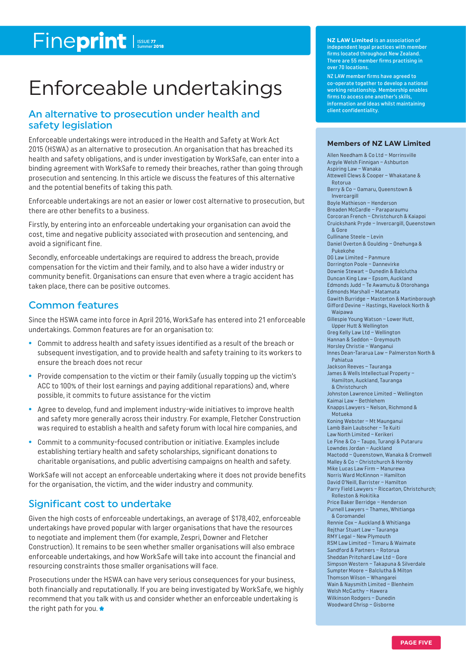# Fineprint

# Enforceable undertakings

### An alternative to prosecution under health and safety legislation

Enforceable undertakings were introduced in the Health and Safety at Work Act 2015 (HSWA) as an alternative to prosecution. An organisation that has breached its health and safety obligations, and is under investigation by WorkSafe, can enter into a binding agreement with WorkSafe to remedy their breaches, rather than going through prosecution and sentencing. In this article we discuss the features of this alternative and the potential benefits of taking this path.

Enforceable undertakings are not an easier or lower cost alternative to prosecution, but there are other benefits to a business.

Firstly, by entering into an enforceable undertaking your organisation can avoid the cost, time and negative publicity associated with prosecution and sentencing, and avoid a significant fine.

Secondly, enforceable undertakings are required to address the breach, provide compensation for the victim and their family, and to also have a wider industry or community benefit. Organisations can ensure that even where a tragic accident has taken place, there can be positive outcomes.

### Common features

Since the HSWA came into force in April 2016, WorkSafe has entered into 21 enforceable undertakings. Common features are for an organisation to:

- **•** Commit to address health and safety issues identified as a result of the breach or subsequent investigation, and to provide health and safety training to its workers to ensure the breach does not recur
- **•** Provide compensation to the victim or their family (usually topping up the victim's ACC to 100% of their lost earnings and paying additional reparations) and, where possible, it commits to future assistance for the victim
- **•** Agree to develop, fund and implement industry-wide initiatives to improve health and safety more generally across their industry. For example, Fletcher Construction was required to establish a health and safety forum with local hire companies, and
- **•** Commit to a community-focused contribution or initiative. Examples include establishing tertiary health and safety scholarships, significant donations to charitable organisations, and public advertising campaigns on health and safety.

WorkSafe will not accept an enforceable undertaking where it does not provide benefits for the organisation, the victim, and the wider industry and community.

### Significant cost to undertake

Given the high costs of enforceable undertakings, an average of \$178,402, enforceable undertakings have proved popular with larger organisations that have the resources to negotiate and implement them (for example, Zespri, Downer and Fletcher Construction). It remains to be seen whether smaller organisations will also embrace enforceable undertakings, and how WorkSafe will take into account the financial and resourcing constraints those smaller organisations will face.

Prosecutions under the HSWA can have very serious consequences for your business, both financially and reputationally. If you are being investigated by WorkSafe, we highly recommend that you talk with us and consider whether an enforceable undertaking is the right path for you.  $\bigstar$ 

**NZ LAW Limited** is an association of independent legal practices with member firms located throughout New Zealand. There are 55 member firms practising in over 70 locations.

NZ LAW member firms have agreed to co-operate together to develop a national working relationship. Membership enables firms to access one another's skills, information and ideas whilst maintaining client confidentiality.

#### **Members of NZ LAW Limited**

Allen Needham & Co Ltd – Morrinsville Argyle Welsh Finnigan – Ashburton Aspiring Law – Wanaka Attewell Clews & Cooper – Whakatane & Rotorua Berry & Co – Oamaru, Queenstown & Invercargill Boyle Mathieson – Henderson Breaden McCardle – Paraparaumu Corcoran French – Christchurch & Kaiapoi Cruickshank Pryde – Invercargill, Queenstown & Gore Cullinane Steele – Levin Daniel Overton & Goulding – Onehunga & Pukekohe DG Law Limited – Panmure Dorrington Poole – Dannevirke Downie Stewart – Dunedin & Balclutha Duncan King Law – Epsom, Auckland Edmonds Judd – Te Awamutu & Otorohanga Edmonds Marshall – Matamata Gawith Burridge – Masterton & Martinborough Gifford Devine – Hastings, Havelock North & Waipawa Gillespie Young Watson – Lower Hutt, Upper Hutt & Wellington Greg Kelly Law Ltd – Wellington Hannan & Seddon – Greymouth Horsley Christie – Wanganui Innes Dean-Tararua Law – Palmerston North & Pahiatua Jackson Reeves – Tauranga James & Wells Intellectual Property – Hamilton, Auckland, Tauranga & Christchurch Johnston Lawrence Limited – Wellington Kaimai Law – Bethlehem Knapps Lawyers – Nelson, Richmond & Motueka Koning Webster – Mt Maunganui Lamb Bain Laubscher – Te Kuiti Law North Limited – Kerikeri Le Pine & Co – Taupo, Turangi & Putaruru Lowndes Jordan – Auckland Mactodd – Queenstown, Wanaka & Cromwell Malley & Co – Christchurch & Hornby Mike Lucas Law Firm – Manurewa Norris Ward McKinnon – Hamilton David O'Neill, Barrister – Hamilton Parry Field Lawyers – Riccarton, Christchurch; Rolleston & Hokitika Price Baker Berridge – Henderson Purnell Lawyers – Thames, Whitianga & Coromandel Rennie Cox – Auckland & Whitianga Rejthar Stuart Law – Tauranga RMY Legal – New Plymouth RSM Law Limited – Timaru & Waimate Sandford & Partners – Rotorua Sheddan Pritchard Law Ltd – Gore Simpson Western – Takapuna & Silverdale Sumpter Moore – Balclutha & Milton Thomson Wilson – Whangarei Wain & Naysmith Limited – Blenheim Welsh McCarthy – Hawera Wilkinson Rodgers – Dunedin Woodward Chrisp – Gisborne